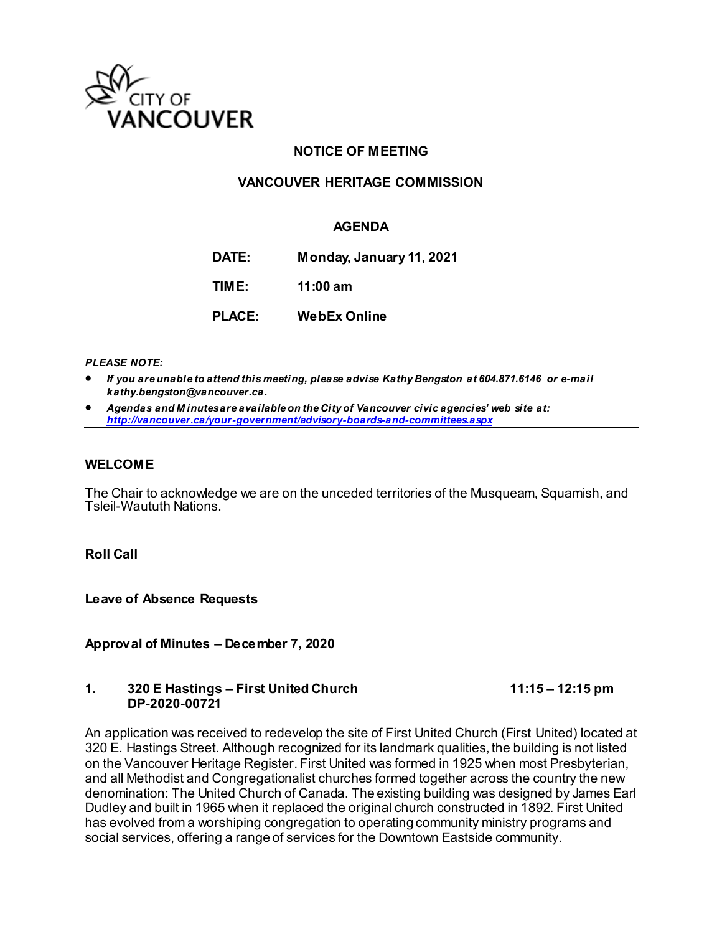

## **NOTICE OF MEETING**

#### **VANCOUVER HERITAGE COMMISSION**

#### **AGENDA**

**DATE: Monday, January 11, 2021 TIME: 11:00 am**

**PLACE: WebEx Online**

*PLEASE NOTE:*

- *If you are unable to attend this meeting, please advise Kathy Bengston at 604.871.6146 or e-mail kathy.bengston@vancouver.ca.*
- *Agendas and M inutes are available on the City of Vancouver civic agencies' web site at: <http://vancouver.ca/your-government/advisory-boards-and-committees.aspx>*

#### **WELCOME**

The Chair to acknowledge we are on the unceded territories of the Musqueam, Squamish, and Tsleil-Waututh Nations.

**Roll Call**

**Leave of Absence Requests** 

**Approval of Minutes – December 7, 2020**

#### **1. 320 E Hastings – First United Church 11:15 – 12:15 pm DP-2020-00721**

An application was received to redevelop the site of First United Church (First United) located at 320 E. Hastings Street. Although recognized for its landmark qualities, the building is not listed on the Vancouver Heritage Register. First United was formed in 1925 when most Presbyterian, and all Methodist and Congregationalist churches formed together across the country the new denomination: The United Church of Canada. The existing building was designed by James Earl Dudley and built in 1965 when it replaced the original church constructed in 1892. First United has evolved from a worshiping congregation to operating community ministry programs and social services, offering a range of services for the Downtown Eastside community.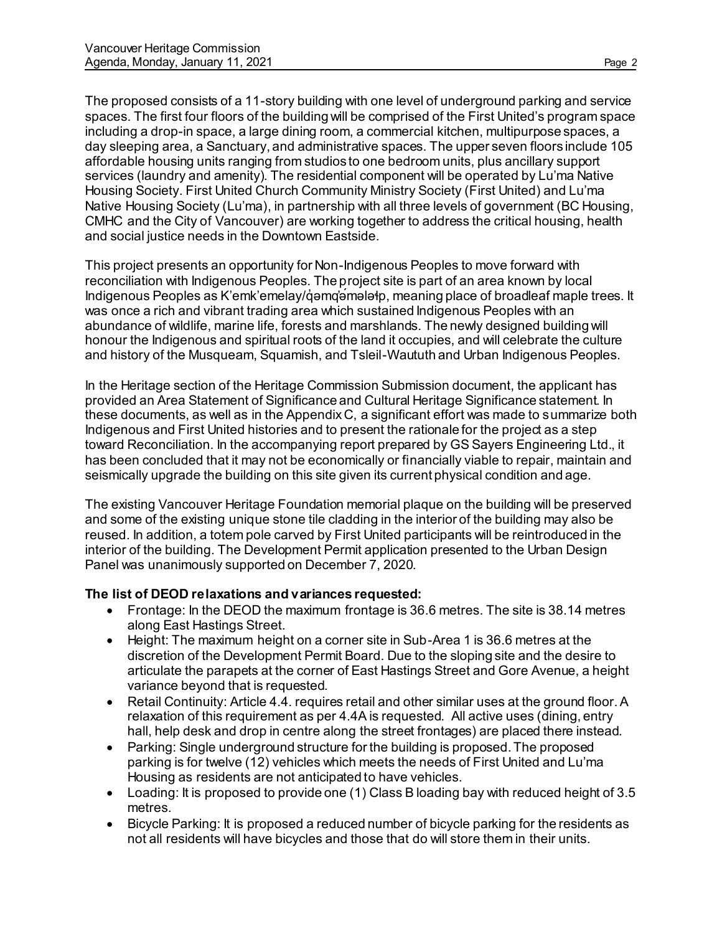affordable housing units ranging from studios to one bedroom units, plus ancillary support services (laundry and amenity). The residential component will be operated by Lu'ma Native Housing Society. First United Church Community Ministry Society (First United) and Lu'ma Native Housing Society (Lu'ma), in partnership with all three levels of government (BC Housing, CMHC and the City of Vancouver) are working together to address the critical housing, health and social justice needs in the Downtown Eastside.

This project presents an opportunity for Non-Indigenous Peoples to move forward with reconciliation with Indigenous Peoples. The project site is part of an area known by local Indigenous Peoples as K'emk'emelay/q'emq'emelate, meaning place of broadleaf maple trees. It was once a rich and vibrant trading area which sustained Indigenous Peoples with an abundance of wildlife, marine life, forests and marshlands. The newly designed building will honour the Indigenous and spiritual roots of the land it occupies, and will celebrate the culture and history of the Musqueam, Squamish, and Tsleil-Waututh and Urban Indigenous Peoples.

In the Heritage section of the Heritage Commission Submission document, the applicant has provided an Area Statement of Significance and Cultural Heritage Significance statement. In these documents, as well as in the Appendix C, a significant effort was made to summarize both Indigenous and First United histories and to present the rationale for the project as a step toward Reconciliation. In the accompanying report prepared by GS Sayers Engineering Ltd., it has been concluded that it may not be economically or financially viable to repair, maintain and seismically upgrade the building on this site given its current physical condition and age.

The existing Vancouver Heritage Foundation memorial plaque on the building will be preserved and some of the existing unique stone tile cladding in the interior of the building may also be reused. In addition, a totem pole carved by First United participants will be reintroduced in the interior of the building. The Development Permit application presented to the Urban Design Panel was unanimously supported on December 7, 2020.

## **The list of DEOD relaxations and variances requested:**

- Frontage: In the DEOD the maximum frontage is 36.6 metres. The site is 38.14 metres along East Hastings Street.
- Height: The maximum height on a corner site in Sub-Area 1 is 36.6 metres at the discretion of the Development Permit Board. Due to the sloping site and the desire to articulate the parapets at the corner of East Hastings Street and Gore Avenue, a height variance beyond that is requested.
- Retail Continuity: Article 4.4. requires retail and other similar uses at the ground floor. A relaxation of this requirement as per 4.4A is requested. All active uses (dining, entry hall, help desk and drop in centre along the street frontages) are placed there instead.
- Parking: Single underground structure for the building is proposed. The proposed parking is for twelve (12) vehicles which meets the needs of First United and Lu'ma Housing as residents are not anticipated to have vehicles.
- Loading: It is proposed to provide one (1) Class B loading bay with reduced height of 3.5 metres.
- Bicycle Parking: It is proposed a reduced number of bicycle parking for the residents as not all residents will have bicycles and those that do will store them in their units.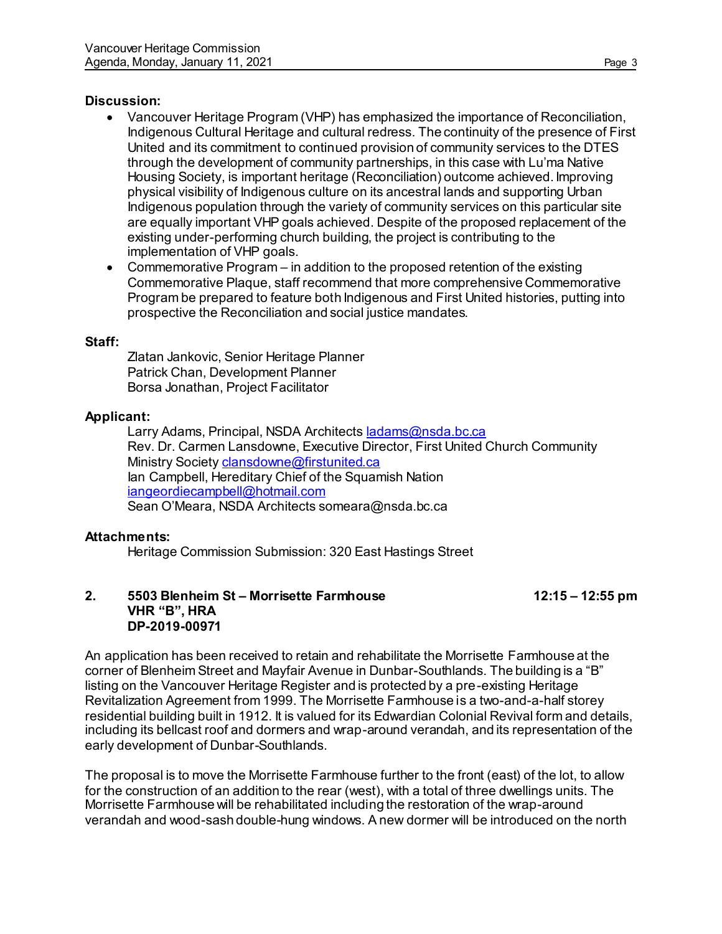#### **Discussion:**

- Vancouver Heritage Program (VHP) has emphasized the importance of Reconciliation, Indigenous Cultural Heritage and cultural redress. The continuity of the presence of First United and its commitment to continued provision of community services to the DTES through the development of community partnerships, in this case with Lu'ma Native Housing Society, is important heritage (Reconciliation) outcome achieved. Improving physical visibility of Indigenous culture on its ancestral lands and supporting Urban Indigenous population through the variety of community services on this particular site are equally important VHP goals achieved. Despite of the proposed replacement of the existing under-performing church building, the project is contributing to the implementation of VHP goals.
- Commemorative Program in addition to the proposed retention of the existing Commemorative Plaque, staff recommend that more comprehensive Commemorative Program be prepared to feature both Indigenous and First United histories, putting into prospective the Reconciliation and social justice mandates.

#### **Staff:**

Zlatan Jankovic, Senior Heritage Planner Patrick Chan, Development Planner Borsa Jonathan, Project Facilitator

#### **Applicant:**

Larry Adams, Principal, NSDA Architect[s ladams@nsda.bc.ca](mailto:ladams@nsda.bc.ca) Rev. Dr. Carmen Lansdowne, Executive Director, First United Church Community Ministry Society [clansdowne@firstunited.ca](mailto:clansdowne@firstunited.ca) Ian Campbell, Hereditary Chief of the Squamish Nation [iangeordiecampbell@hotmail.com](mailto:iangeordiecampbell@hotmail.com) Sean O'Meara, NSDA Architects someara@nsda.bc.ca

#### **Attachments:**

Heritage Commission Submission: 320 East Hastings Street

#### **2. 5503 Blenheim St – Morrisette Farmhouse 12:15 – 12:55 pm VHR "B", HRA DP-2019-00971**

An application has been received to retain and rehabilitate the Morrisette Farmhouse at the corner of Blenheim Street and Mayfair Avenue in Dunbar-Southlands. The building is a "B" listing on the Vancouver Heritage Register and is protected by a pre-existing Heritage Revitalization Agreement from 1999. The Morrisette Farmhouse is a two-and-a-half storey residential building built in 1912. It is valued for its Edwardian Colonial Revival form and details, including its bellcast roof and dormers and wrap-around verandah, and its representation of the early development of Dunbar-Southlands.

The proposal is to move the Morrisette Farmhouse further to the front (east) of the lot, to allow for the construction of an addition to the rear (west), with a total of three dwellings units. The Morrisette Farmhouse will be rehabilitated including the restoration of the wrap-around verandah and wood-sash double-hung windows. A new dormer will be introduced on the north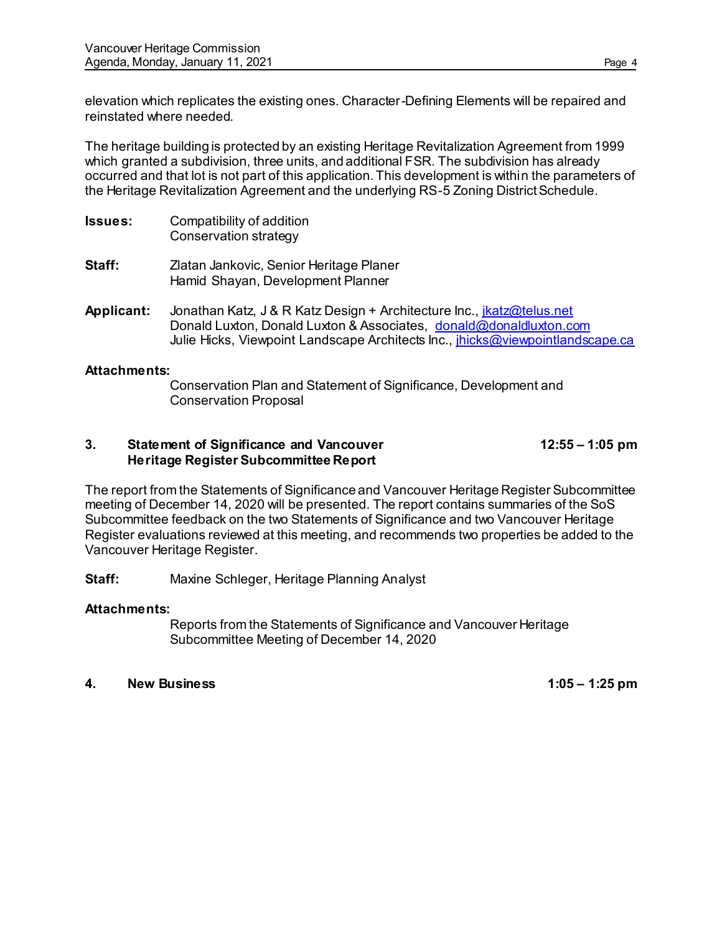elevation which replicates the existing ones. Character-Defining Elements will be repaired and reinstated where needed.

The heritage building is protected by an existing Heritage Revitalization Agreement from 1999 which granted a subdivision, three units, and additional FSR. The subdivision has already occurred and that lot is not part of this application. This development is within the parameters of the Heritage Revitalization Agreement and the underlying RS-5 Zoning District Schedule.

- **Issues:** Compatibility of addition Conservation strategy **Staff:** Zlatan Jankovic, Senior Heritage Planer Hamid Shayan, Development Planner
- Applicant: Jonathan Katz, J & R Katz Design + Architecture Inc., *ikatz@telus.net* Donald Luxton, Donald Luxton & Associates, [donald@donaldluxton.com](mailto:donald@donaldluxton.com) Julie Hicks, Viewpoint Landscape Architects Inc., *jhicks@viewpointlandscape.ca*

#### **Attachments:**

Conservation Plan and Statement of Significance, Development and Conservation Proposal

## **3. Statement of Significance and Vancouver 12:55 – 1:05 pm Heritage Register Subcommittee Report**

The report from the Statements of Significance and Vancouver Heritage Register Subcommittee meeting of December 14, 2020 will be presented. The report contains summaries of the SoS Subcommittee feedback on the two Statements of Significance and two Vancouver Heritage Register evaluations reviewed at this meeting, and recommends two properties be added to the Vancouver Heritage Register.

**Staff:** Maxine Schleger, Heritage Planning Analyst

## **Attachments:**

Reports from the Statements of Significance and Vancouver Heritage Subcommittee Meeting of December 14, 2020

#### **4. New Business 1:05 – 1:25 pm**